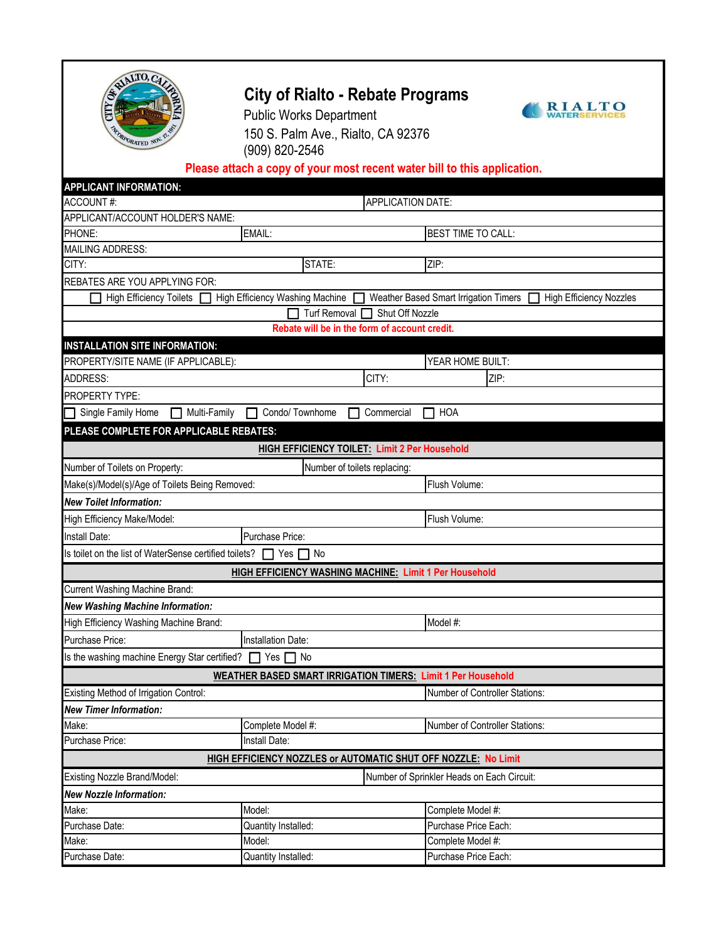

# **City of Rialto - Rebate Programs**



Public Works Department 150 S. Palm Ave., Rialto, CA 92376 (909) 820-2546

# **Please attach a copy of your most recent water bill to this application.**

| <b>APPLICANT INFORMATION:</b>                                                                                                                |                                                                       |                                |  |  |
|----------------------------------------------------------------------------------------------------------------------------------------------|-----------------------------------------------------------------------|--------------------------------|--|--|
| <b>ACCOUNT#:</b>                                                                                                                             | APPLICATION DATE:                                                     |                                |  |  |
| APPLICANT/ACCOUNT HOLDER'S NAME:                                                                                                             |                                                                       |                                |  |  |
| PHONE:                                                                                                                                       | EMAIL:                                                                | <b>BEST TIME TO CALL:</b>      |  |  |
| <b>MAILING ADDRESS:</b>                                                                                                                      |                                                                       |                                |  |  |
| CITY:                                                                                                                                        | STATE:                                                                | ZIP:                           |  |  |
| <b>REBATES ARE YOU APPLYING FOR:</b>                                                                                                         |                                                                       |                                |  |  |
| High Efficiency Washing Machine<br><b>High Efficiency Toilets</b><br>Weather Based Smart Irrigation Timers<br><b>High Efficiency Nozzles</b> |                                                                       |                                |  |  |
| Shut Off Nozzle<br><b>Turf Removal</b>                                                                                                       |                                                                       |                                |  |  |
|                                                                                                                                              | Rebate will be in the form of account credit.                         |                                |  |  |
| <b>INSTALLATION SITE INFORMATION:</b>                                                                                                        |                                                                       |                                |  |  |
| PROPERTY/SITE NAME (IF APPLICABLE):                                                                                                          |                                                                       | YEAR HOME BUILT:               |  |  |
| <b>ADDRESS:</b>                                                                                                                              | CITY:                                                                 | ZIP:                           |  |  |
| <b>PROPERTY TYPE:</b>                                                                                                                        |                                                                       |                                |  |  |
| Single Family Home<br>Multi-Family                                                                                                           | Condo/ Townhome<br>Commercial                                         | HOA                            |  |  |
| PLEASE COMPLETE FOR APPLICABLE REBATES:                                                                                                      |                                                                       |                                |  |  |
|                                                                                                                                              | <b>HIGH EFFICIENCY TOILET: Limit 2 Per Household</b>                  |                                |  |  |
| Number of Toilets on Property:                                                                                                               | Number of toilets replacing:                                          |                                |  |  |
| Make(s)/Model(s)/Age of Toilets Being Removed:                                                                                               |                                                                       | Flush Volume:                  |  |  |
| <b>New Toilet Information:</b>                                                                                                               |                                                                       |                                |  |  |
| High Efficiency Make/Model:                                                                                                                  |                                                                       | Flush Volume:                  |  |  |
| Install Date:                                                                                                                                | Purchase Price:                                                       |                                |  |  |
| Is toilet on the list of WaterSense certified toilets?   Yes   No                                                                            |                                                                       |                                |  |  |
|                                                                                                                                              | <b>HIGH EFFICIENCY WASHING MACHINE: Limit 1 Per Household</b>         |                                |  |  |
| Current Washing Machine Brand:                                                                                                               |                                                                       |                                |  |  |
| <b>New Washing Machine Information:</b>                                                                                                      |                                                                       |                                |  |  |
| High Efficiency Washing Machine Brand:                                                                                                       |                                                                       | Model #:                       |  |  |
| Purchase Price:                                                                                                                              | Installation Date:                                                    |                                |  |  |
| Is the washing machine Energy Star certified? T Yes T No                                                                                     |                                                                       |                                |  |  |
|                                                                                                                                              | <b>WEATHER BASED SMART IRRIGATION TIMERS: Limit 1 Per Household</b>   |                                |  |  |
| Existing Method of Irrigation Control:                                                                                                       |                                                                       | Number of Controller Stations: |  |  |
| <b>New Timer Information:</b>                                                                                                                |                                                                       |                                |  |  |
| Make:                                                                                                                                        | Complete Model #:                                                     | Number of Controller Stations: |  |  |
| Purchase Price:                                                                                                                              | Install Date:                                                         |                                |  |  |
|                                                                                                                                              | <b>HIGH EFFICIENCY NOZZLES or AUTOMATIC SHUT OFF NOZZLE: No Limit</b> |                                |  |  |
| Existing Nozzle Brand/Model:<br>Number of Sprinkler Heads on Each Circuit:                                                                   |                                                                       |                                |  |  |
| <b>New Nozzle Information:</b>                                                                                                               |                                                                       |                                |  |  |
| Make:                                                                                                                                        | Model:                                                                | Complete Model #:              |  |  |
| Purchase Date:                                                                                                                               | Quantity Installed:                                                   | Purchase Price Each:           |  |  |
| Make:                                                                                                                                        | Model:                                                                | Complete Model #:              |  |  |
| Purchase Date:                                                                                                                               | Quantity Installed:                                                   | Purchase Price Each:           |  |  |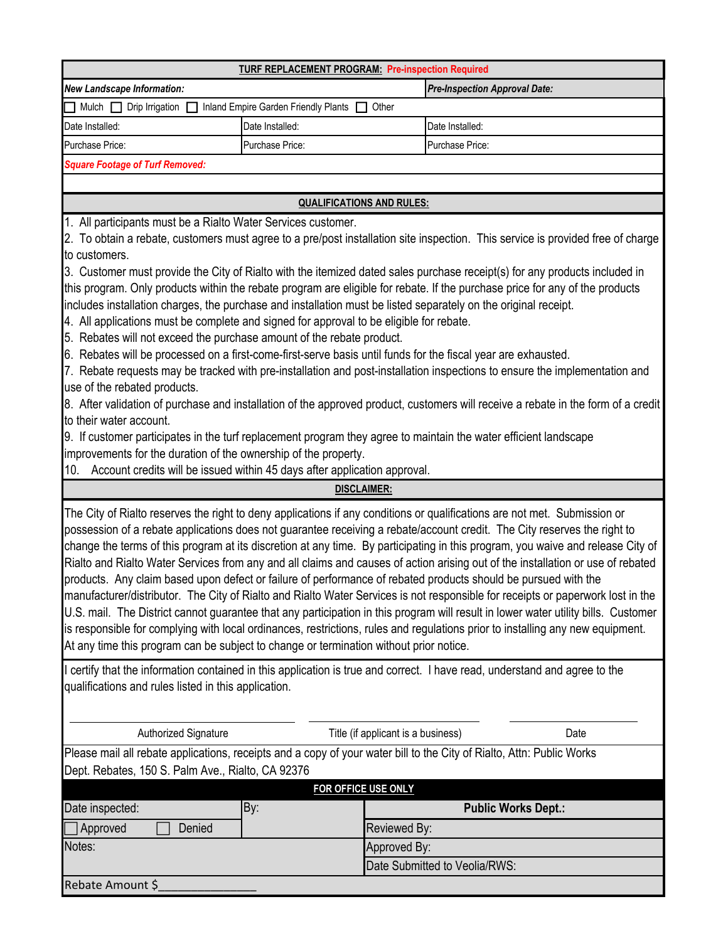|                                                                                                                                   | <b>TURF REPLACEMENT PROGRAM: Pre-inspection Required</b>                      |                                      |  |  |  |
|-----------------------------------------------------------------------------------------------------------------------------------|-------------------------------------------------------------------------------|--------------------------------------|--|--|--|
| <b>New Landscape Information:</b>                                                                                                 |                                                                               | <b>Pre-Inspection Approval Date:</b> |  |  |  |
| Mulch $\Box$ Drip Irrigation                                                                                                      | Inland Empire Garden Friendly Plants                                          | Other                                |  |  |  |
| Date Installed:                                                                                                                   | Date Installed:                                                               | Date Installed:                      |  |  |  |
| Purchase Price:                                                                                                                   | Purchase Price:                                                               | Purchase Price:                      |  |  |  |
| <b>Square Footage of Turf Removed:</b>                                                                                            |                                                                               |                                      |  |  |  |
|                                                                                                                                   |                                                                               |                                      |  |  |  |
| <b>QUALIFICATIONS AND RULES:</b>                                                                                                  |                                                                               |                                      |  |  |  |
| 1. All participants must be a Rialto Water Services customer.                                                                     |                                                                               |                                      |  |  |  |
| 2. To obtain a rebate, customers must agree to a pre/post installation site inspection. This service is provided free of charge   |                                                                               |                                      |  |  |  |
| to customers.                                                                                                                     |                                                                               |                                      |  |  |  |
| 3. Customer must provide the City of Rialto with the itemized dated sales purchase receipt(s) for any products included in        |                                                                               |                                      |  |  |  |
| this program. Only products within the rebate program are eligible for rebate. If the purchase price for any of the products      |                                                                               |                                      |  |  |  |
| includes installation charges, the purchase and installation must be listed separately on the original receipt.                   |                                                                               |                                      |  |  |  |
| 4. All applications must be complete and signed for approval to be eligible for rebate.                                           |                                                                               |                                      |  |  |  |
| 5. Rebates will not exceed the purchase amount of the rebate product.                                                             |                                                                               |                                      |  |  |  |
| 6. Rebates will be processed on a first-come-first-serve basis until funds for the fiscal year are exhausted.                     |                                                                               |                                      |  |  |  |
| 7. Rebate requests may be tracked with pre-installation and post-installation inspections to ensure the implementation and        |                                                                               |                                      |  |  |  |
| use of the rebated products.                                                                                                      |                                                                               |                                      |  |  |  |
| 8. After validation of purchase and installation of the approved product, customers will receive a rebate in the form of a credit |                                                                               |                                      |  |  |  |
| to their water account.                                                                                                           |                                                                               |                                      |  |  |  |
| 9. If customer participates in the turf replacement program they agree to maintain the water efficient landscape                  |                                                                               |                                      |  |  |  |
| improvements for the duration of the ownership of the property.                                                                   |                                                                               |                                      |  |  |  |
|                                                                                                                                   |                                                                               |                                      |  |  |  |
|                                                                                                                                   | 10. Account credits will be issued within 45 days after application approval. |                                      |  |  |  |

possession of a rebate applications does not guarantee receiving a rebate/account credit. The City reserves the right to change the terms of this program at its discretion at any time. By participating in this program, you waive and release City of Rialto and Rialto Water Services from any and all claims and causes of action arising out of the installation or use of rebated products. Any claim based upon defect or failure of performance of rebated products should be pursued with the manufacturer/distributor. The City of Rialto and Rialto Water Services is not responsible for receipts or paperwork lost in the U.S. mail. The District cannot guarantee that any participation in this program will result in lower water utility bills. Customer is responsible for complying with local ordinances, restrictions, rules and regulations prior to installing any new equipment. At any time this program can be subject to change or termination without prior notice.

I certify that the information contained in this application is true and correct. I have read, understand and agree to the qualifications and rules listed in this application.

Authorized Signature Title (if applicant is a business) Date

Please mail all rebate applications, receipts and a copy of your water bill to the City of Rialto, Attn: Public Works Dept. Rebates, 150 S. Palm Ave., Rialto, CA 92376

| <b>FOR OFFICE USE ONLY</b> |     |                               |  |  |
|----------------------------|-----|-------------------------------|--|--|
| Date inspected:            | By: | <b>Public Works Dept.:</b>    |  |  |
| Denied<br>Approved         |     | Reviewed By:                  |  |  |
| Notes:                     |     | Approved By:                  |  |  |
|                            |     | Date Submitted to Veolia/RWS: |  |  |
| Rebate Amount \$           |     |                               |  |  |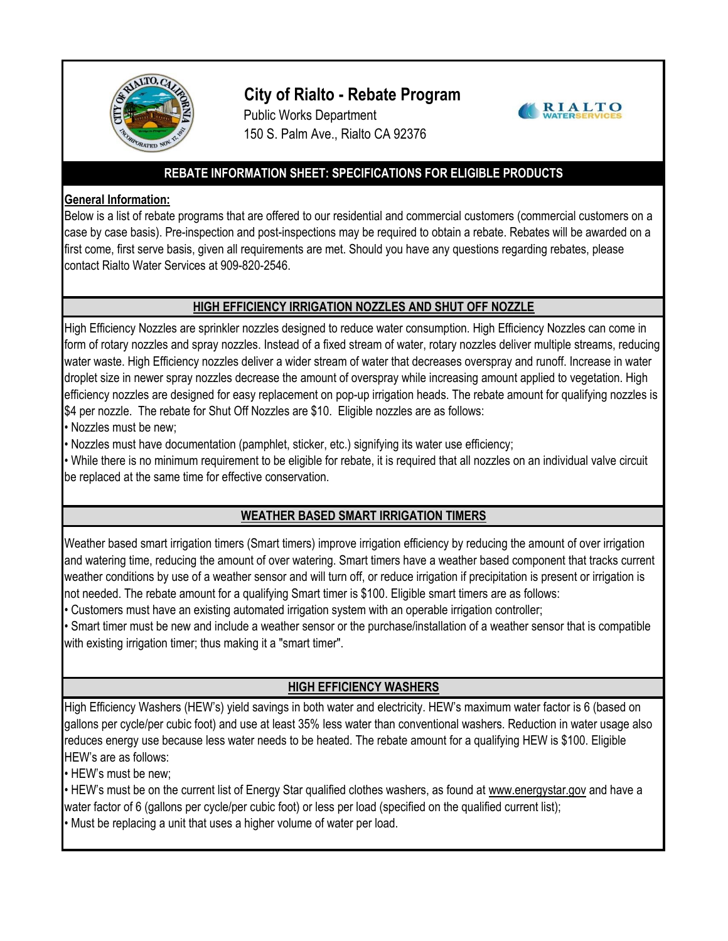

# **City of Rialto - Rebate Program**





#### **REBATE INFORMATION SHEET: SPECIFICATIONS FOR ELIGIBLE PRODUCTS**

#### **General Information:**

Below is a list of rebate programs that are offered to our residential and commercial customers (commercial customers on a case by case basis). Pre-inspection and post-inspections may be required to obtain a rebate. Rebates will be awarded on a first come, first serve basis, given all requirements are met. Should you have any questions regarding rebates, please contact Rialto Water Services at 909-820-2546.

#### **HIGH EFFICIENCY IRRIGATION NOZZLES AND SHUT OFF NOZZLE**

High Efficiency Nozzles are sprinkler nozzles designed to reduce water consumption. High Efficiency Nozzles can come in form of rotary nozzles and spray nozzles. Instead of a fixed stream of water, rotary nozzles deliver multiple streams, reducing water waste. High Efficiency nozzles deliver a wider stream of water that decreases overspray and runoff. Increase in water droplet size in newer spray nozzles decrease the amount of overspray while increasing amount applied to vegetation. High efficiency nozzles are designed for easy replacement on pop-up irrigation heads. The rebate amount for qualifying nozzles is \$4 per nozzle. The rebate for Shut Off Nozzles are \$10. Eligible nozzles are as follows:

• Nozzles must be new;

• Nozzles must have documentation (pamphlet, sticker, etc.) signifying its water use efficiency;

• While there is no minimum requirement to be eligible for rebate, it is required that all nozzles on an individual valve circuit be replaced at the same time for effective conservation.

## **WEATHER BASED SMART IRRIGATION TIMERS**

Weather based smart irrigation timers (Smart timers) improve irrigation efficiency by reducing the amount of over irrigation and watering time, reducing the amount of over watering. Smart timers have a weather based component that tracks current weather conditions by use of a weather sensor and will turn off, or reduce irrigation if precipitation is present or irrigation is not needed. The rebate amount for a qualifying Smart timer is \$100. Eligible smart timers are as follows:

• Customers must have an existing automated irrigation system with an operable irrigation controller;

• Smart timer must be new and include a weather sensor or the purchase/installation of a weather sensor that is compatible with existing irrigation timer; thus making it a "smart timer".

## **HIGH EFFICIENCY WASHERS**

High Efficiency Washers (HEW's) yield savings in both water and electricity. HEW's maximum water factor is 6 (based on gallons per cycle/per cubic foot) and use at least 35% less water than conventional washers. Reduction in water usage also reduces energy use because less water needs to be heated. The rebate amount for a qualifying HEW is \$100. Eligible HEW's are as follows:

• HEW's must be new;

• HEW's must be on the current list of Energy Star qualified clothes washers, as found at www.energystar.gov and have a water factor of 6 (gallons per cycle/per cubic foot) or less per load (specified on the qualified current list); • Must be replacing a unit that uses a higher volume of water per load.